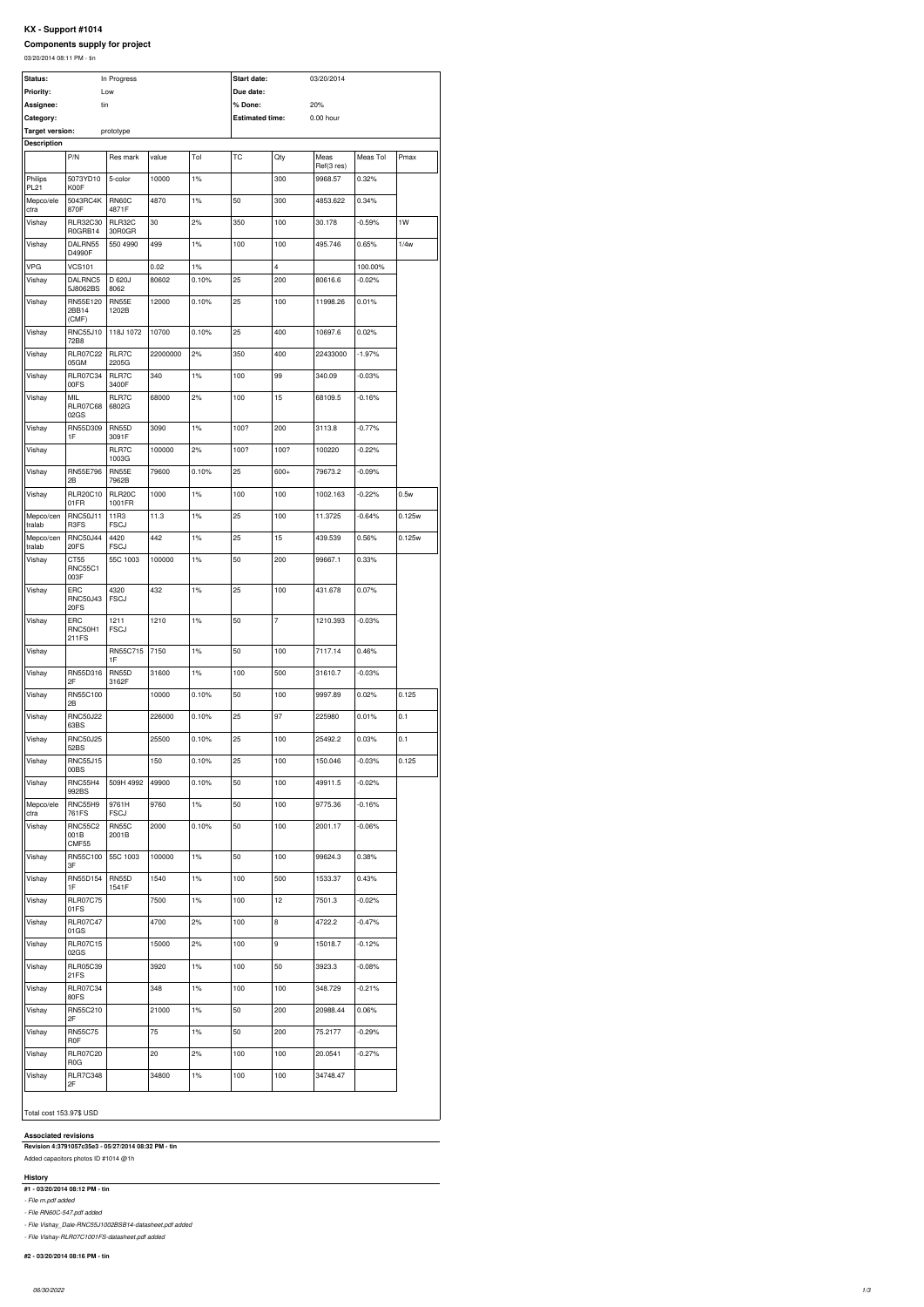# **KX - Support #1014**

# **Components supply for project**

03/20/2014 08:11 PM - tin

| Status:                       |                                 | In Progress             |          |       | Start date:            |                  | 03/20/2014  |          |        |
|-------------------------------|---------------------------------|-------------------------|----------|-------|------------------------|------------------|-------------|----------|--------|
| <b>Priority:</b><br>Assignee: | tin                             | Low                     |          |       | Due date:<br>% Done:   |                  | 20%         |          |        |
| Category:                     |                                 |                         |          |       | <b>Estimated time:</b> |                  | $0.00$ hour |          |        |
| <b>Target version:</b>        |                                 | prototype               |          |       |                        |                  |             |          |        |
| <b>Description</b>            | P/N                             | Res mark                | value    | Tol   | <b>TC</b>              | Qty              | Meas        | Meas Tol | Pmax   |
|                               |                                 |                         |          |       |                        |                  | Ref(3 res)  |          |        |
| Philips<br><b>PL21</b>        | 5073YD10<br>K00F                | 5-color                 | 10000    | 1%    |                        | 300              | 9968.57     | 0.32%    |        |
| Mepco/ele<br>ctra             | 5043RC4K<br>870F                | <b>RN60C</b><br>4871F   | 4870     | 1%    | 50                     | 300              | 4853.622    | 0.34%    |        |
| Vishay                        | RLR32C30<br>R0GRB14             | <b>RLR32C</b><br>30R0GR | 30       | 2%    | 350                    | 100              | 30.178      | $-0.59%$ | 1W     |
| Vishay                        | DALRN55<br>D4990F               | 550 4990                | 499      | 1%    | 100                    | 100              | 495.746     | 0.65%    | 1/4w   |
| VPG                           | <b>VCS101</b>                   |                         | 0.02     | 1%    |                        | 4                |             | 100.00%  |        |
| Vishay                        | DALRNC5<br>5J8062BS             | D 620J<br>8062          | 80602    | 0.10% | 25                     | 200              | 80616.6     | $-0.02%$ |        |
| Vishay                        | RN55E120<br>2BB14               | <b>RN55E</b><br>1202B   | 12000    | 0.10% | 25                     | 100              | 11998.26    | 0.01%    |        |
| Vishay                        | (CMF)<br>RNC55J10               | 118J 1072               | 10700    | 0.10% | 25                     | 400              | 10697.6     | 0.02%    |        |
| Vishay                        | 72B8<br><b>RLR07C22</b>         | RLR7C                   | 22000000 | 2%    | 350                    | 400              | 22433000    | $-1.97%$ |        |
| Vishay                        | 05GM<br><b>RLR07C34</b>         | 2205G<br>RLR7C          | 340      | 1%    | 100                    | 99               | 340.09      | $-0.03%$ |        |
| Vishay                        | 00FS<br>MIL                     | 3400F<br>RLR7C          | 68000    | 2%    | 100                    | 15               | 68109.5     | $-0.16%$ |        |
|                               | <b>RLR07C68</b><br>02GS         | 6802G                   |          |       |                        |                  |             |          |        |
| Vishay                        | RN55D309<br>1F                  | <b>RN55D</b><br>3091F   | 3090     | 1%    | 100?                   | 200              | 3113.8      | $-0.77%$ |        |
| Vishay                        |                                 | RLR7C<br>1003G          | 100000   | 2%    | 100?                   | 100?             | 100220      | $-0.22%$ |        |
| Vishay                        | RN55E796<br>2B                  | <b>RN55E</b><br>7962B   | 79600    | 0.10% | 25                     | $600+$           | 79673.2     | $-0.09%$ |        |
| Vishay                        | <b>RLR20C10</b><br>01FR         | RLR20C<br>1001FR        | 1000     | 1%    | 100                    | 100              | 1002.163    | $-0.22%$ | 0.5w   |
| Mepco/cen<br>tralab           | <b>RNC50J11</b><br>R3FS         | 11R3<br><b>FSCJ</b>     | 11.3     | 1%    | 25                     | 100              | 11.3725     | $-0.64%$ | 0.125w |
| Mepco/cen<br>tralab           | <b>RNC50J44</b><br>20FS         | 4420<br><b>FSCJ</b>     | 442      | 1%    | 25                     | 15               | 439.539     | 0.56%    | 0.125w |
| Vishay                        | CT55<br><b>RNC55C1</b><br>003F  | 55C 1003                | 100000   | 1%    | 50                     | 200              | 99667.1     | 0.33%    |        |
| Vishay                        | ERC<br><b>RNC50J43</b>          | 4320<br><b>FSCJ</b>     | 432      | 1%    | 25                     | 100              | 431.678     | 0.07%    |        |
| Vishay                        | 20FS<br>ERC<br>RNC50H1          | 1211<br><b>FSCJ</b>     | 1210     | 1%    | 50                     | $\overline{7}$   | 1210.393    | $-0.03%$ |        |
| Vishay                        | 211FS                           | RN55C715                | 7150     | 1%    | 50                     | 100              | 7117.14     | 0.46%    |        |
| Vishay                        | RN55D316                        | 1F<br><b>RN55D</b>      | 31600    | 1%    | 100                    | 500              | 31610.7     | $-0.03%$ |        |
|                               | 2F                              | 3162F                   |          |       |                        |                  |             |          |        |
| Vishay                        | RN55C100<br>2B                  |                         | 10000    | 0.10% | 50                     | 100              | 9997.89     | 0.02%    | 0.125  |
| Vishay                        | <b>RNC50J22</b><br>63BS         |                         | 226000   | 0.10% | 25                     | 97               | 225980      | 0.01%    | 0.1    |
| Vishay                        | <b>RNC50J25</b><br>52BS         |                         | 25500    | 0.10% | 25                     | 100              | 25492.2     | 0.03%    | 0.1    |
| Vishay                        | <b>RNC55J15</b><br>00BS         |                         | 150      | 0.10% | 25                     | 100              | 150.046     | $-0.03%$ | 0.125  |
| Vishay                        | <b>RNC55H4</b><br>992BS         | 509H 4992               | 49900    | 0.10% | 50                     | 100              | 49911.5     | $-0.02%$ |        |
| Mepco/ele<br>ctra             | RNC55H9<br>761FS                | 9761H<br><b>FSCJ</b>    | 9760     | 1%    | 50                     | 100              | 9775.36     | $-0.16%$ |        |
| Vishay                        | <b>RNC55C2</b><br>001B<br>CMF55 | <b>RN55C</b><br>2001B   | 2000     | 0.10% | 50                     | 100              | 2001.17     | $-0.06%$ |        |
| Vishay                        | RN55C100                        | 55C 1003                | 100000   | 1%    | 50                     | 100              | 99624.3     | 0.38%    |        |
| Vishay                        | 3F<br>RN55D154                  | <b>RN55D</b>            | 1540     | 1%    | 100                    | 500              | 1533.37     | 0.43%    |        |
| Vishay                        | 1F<br><b>RLR07C75</b>           | 1541F                   | 7500     | 1%    | 100                    | 12               | 7501.3      | $-0.02%$ |        |
| Vishay                        | 01FS<br><b>RLR07C47</b>         |                         | 4700     | 2%    | 100                    | $\,8\,$          | 4722.2      | $-0.47%$ |        |
| Vishay                        | 01GS<br><b>RLR07C15</b>         |                         | 15000    | 2%    | 100                    | $\boldsymbol{9}$ | 15018.7     | $-0.12%$ |        |
| Vishay                        | 02GS<br><b>RLR05C39</b>         |                         | 3920     | 1%    | 100                    | 50               | 3923.3      | $-0.08%$ |        |
| Vishay                        | 21FS<br><b>RLR07C34</b>         |                         | 348      | 1%    | 100                    | 100              | 348.729     | $-0.21%$ |        |
| Vishay                        | 80FS<br>RN55C210                |                         | 21000    | 1%    | 50                     | 200              | 20988.44    | 0.06%    |        |
| Vishay                        | 2F<br><b>RN55C75</b>            |                         | 75       | 1%    | 50                     | 200              | 75.2177     | $-0.29%$ |        |
| Vishay                        | <b>R0F</b><br><b>RLR07C20</b>   |                         | 20       | 2%    | 100                    | 100              | 20.0541     | $-0.27%$ |        |
| Vishay                        | R <sub>0</sub> G                |                         |          |       |                        |                  |             |          |        |
|                               | <b>RLR7C348</b>                 |                         | 34800    | 1%    | 100                    | 100              | 34748.47    |          |        |

# **Associated revisions**

**Revision 4:3791057c35e3 - 05/27/2014 08:32 PM - tin**

Added capacitors photos ID #1014 @1h

#### **History**

**#1 - 03/20/2014 08:12 PM - tin**

*- File rn.pdf added*

*- File RN60C-547.pdf added*

*- File Vishay\_Dale-RNC55J1002BSB14-datasheet.pdf added*

*- File Vishay-RLR07C1001FS-datasheet.pdf added*

# **#2 - 03/20/2014 08:16 PM - tin**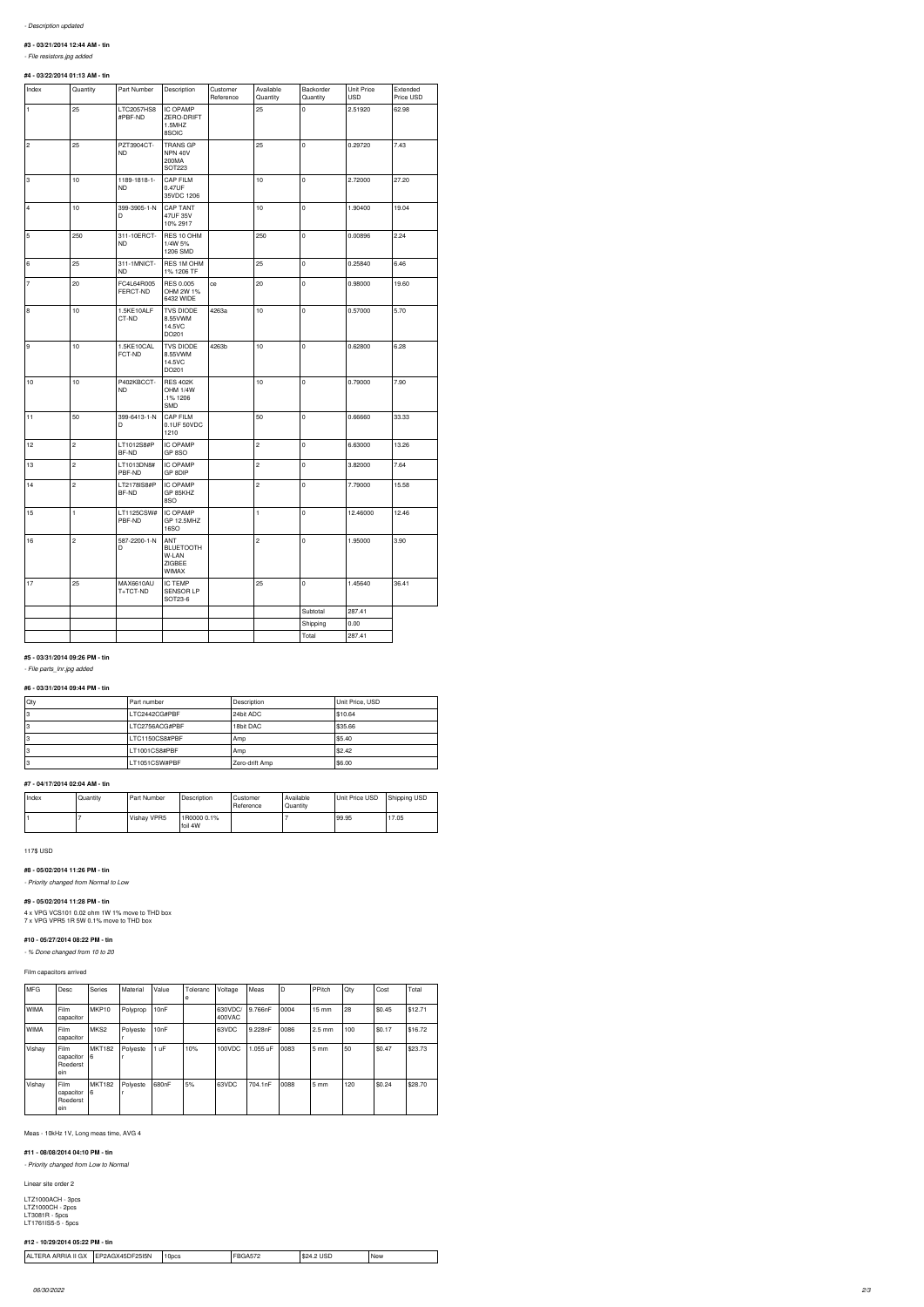# **#3 - 03/21/2014 12:44 AM - tin**

*- File resistors.jpg added*

# **#4 - 03/22/2014 01:13 AM - tin**

| Index          | Quantity       | Part Number               | Description                                           | Customer<br>Reference | Available<br>Quantity | Backorder<br>Quantity | <b>Unit Price</b><br><b>USD</b> | Extended<br>Price USD |
|----------------|----------------|---------------------------|-------------------------------------------------------|-----------------------|-----------------------|-----------------------|---------------------------------|-----------------------|
| 1              | 25             | LTC2057HS8<br>#PBF-ND     | <b>IC OPAMP</b><br>ZERO-DRIFT<br>1.5MHZ<br>8SOIC      |                       | 25                    | 0                     | 2.51920                         | 62.98                 |
| 2              | 25             | PZT3904CT-<br>ND.         | <b>TRANS GP</b><br><b>NPN 40V</b><br>200MA<br>SOT223  |                       | 25                    | $\pmb{0}$             | 0.29720                         | 7.43                  |
| 3              | 10             | 1189-1818-1-<br><b>ND</b> | <b>CAP FILM</b><br>0.47UF<br>35VDC 1206               |                       | 10                    | $\mathsf{O}\xspace$   | 2.72000                         | 27.20                 |
| 4              | 10             | 399-3905-1-N<br>D         | <b>CAP TANT</b><br>47UF 35V<br>10% 2917               |                       | 10                    | $\pmb{0}$             | 1.90400                         | 19.04                 |
| 5              | 250            | 311-10ERCT-<br><b>ND</b>  | RES 10 OHM<br>1/4W 5%<br>1206 SMD                     |                       | 250                   | $\mathsf{O}\xspace$   | 0.00896                         | 2.24                  |
| 6              | 25             | 311-1MNICT-<br>ND.        | RES 1M OHM<br>1% 1206 TF                              |                       | 25                    | 0                     | 0.25840                         | 6.46                  |
| $\overline{7}$ | 20             | FC4L64R005<br>FERCT-ND    | RES 0.005<br>OHM 2W 1%<br>6432 WIDE                   | ce                    | 20                    | $\mathsf{O}\xspace$   | 0.98000                         | 19.60                 |
| 8              | $10$           | 1.5KE10ALF<br>CT-ND       | <b>TVS DIODE</b><br>8.55VWM<br>14.5VC<br>DO201        | 4263a                 | $10$                  | $\mathsf{O}\xspace$   | 0.57000                         | 5.70                  |
| 9              | 10             | 1.5KE10CAL<br>FCT-ND      | <b>TVS DIODE</b><br>8.55VWM<br>14.5VC<br>DO201        | 4263b                 | 10                    | $\mathsf{O}\xspace$   | 0.62800                         | 6.28                  |
| 10             | 10             | P402KBCCT-<br>ND.         | <b>RES 402K</b><br>OHM 1/4W<br>.1% 1206<br><b>SMD</b> |                       | 10                    | $\mathbf 0$           | 0.79000                         | 7.90                  |
| 11             | 50             | 399-6413-1-N<br>D         | <b>CAP FILM</b><br>0.1UF 50VDC<br>1210                |                       | 50                    | 0                     | 0.66660                         | 33.33                 |
| 12             | $\overline{c}$ | LT1012S8#P<br>BF-ND       | <b>IC OPAMP</b><br>GP 8SO                             |                       | 2                     | 0                     | 6.63000                         | 13.26                 |
| 13             | $\sqrt{2}$     | LT1013DN8#<br>PBF-ND      | <b>IC OPAMP</b><br>GP 8DIP                            |                       | 2                     | $\mathsf{O}\xspace$   | 3.82000                         | 7.64                  |
| 14             | $\sqrt{2}$     | LT2178IS8#P<br>BF-ND      | <b>IC OPAMP</b><br>GP 85KHZ<br>8SO                    |                       | $\overline{c}$        | $\pmb{0}$             | 7.79000                         | 15.58                 |
| 15             | $\mathbf{1}$   | LT1125CSW#<br>PBF-ND      | <b>IC OPAMP</b><br>GP 12.5MHZ<br>16SO                 |                       | 1                     | 0                     | 12.46000                        | 12.46                 |
| 16             | $\overline{c}$ | 587-2200-1-N<br>D         | ANT<br><b>BLUETOOTH</b><br>W-LAN<br>ZIGBEE<br>WIMAX   |                       | $\overline{c}$        | $\mathbf 0$           | 1.95000                         | 3.90                  |
| 17             | 25             | MAX6610AU<br>T+TCT-ND     | <b>IC TEMP</b><br>SENSOR LP<br>SOT23-6                |                       | 25                    | 0                     | 1.45640                         | 36.41                 |
|                |                |                           |                                                       |                       |                       | Subtotal              | 287.41                          |                       |
|                |                |                           |                                                       |                       |                       | Shipping              | 0.00                            |                       |
|                |                |                           |                                                       |                       |                       | Total                 | 287.41                          |                       |

#### **#5 - 03/31/2014 09:26 PM - tin**

*- File parts\_lnr.jpg added*

| Qty     | l Part number  | Description    | Unit Price, USD |
|---------|----------------|----------------|-----------------|
| റ<br>دت | LTC2442CG#PBF  | 24bit ADC      | \$10.64         |
| ാ<br>دت | LTC2756ACG#PBF | 18bit DAC      | \$35.66         |
| دت      | LTC1150CS8#PBF | Amp            | \$5.40          |
| ◠<br>۰J | LT1001CS8#PBF  | Amp            | \$2.42          |
|         | LT1051CSW#PBF  | Zero-drift Amp | \$6.00          |

#### **#7 - 04/17/2014 02:04 AM - tin**

| Index | Quantity | Part Number | Description            | l Customer<br>Reference | Available<br>Quantity | Unit Price USD | Shipping USD |
|-------|----------|-------------|------------------------|-------------------------|-----------------------|----------------|--------------|
|       |          | Vishav VPR5 | 1R0000 0.1%<br>foil 4W |                         |                       | 99.95          | 17.05        |

117\$ USD

#### **#8 - 05/02/2014 11:26 PM - tin**

*- Priority changed from Normal to Low*

#### **#9 - 05/02/2014 11:28 PM - tin**

4 x VPG VCS101 0.02 ohm 1W 1% move to THD box 7 x VPG VPR5 1R 5W 0.1% move to THD box

#### **#10 - 05/27/2014 08:22 PM - tin**

*- % Done changed from 10 to 20*

# Film capacitors arrived

| <b>MFG</b>  | Desc                                        | <b>Series</b>      | Material | Value | Toleranc<br>е | Voltage           | Meas     | D    | PPitch           | Qty | Cost   | Total   |
|-------------|---------------------------------------------|--------------------|----------|-------|---------------|-------------------|----------|------|------------------|-----|--------|---------|
| <b>WIMA</b> | <b>Film</b><br>capacitor                    | MKP <sub>10</sub>  | Polyprop | 10nF  |               | 630VDC/<br>400VAC | 9.766nF  | 0004 | $15 \text{ mm}$  | 28  | \$0.45 | \$12.71 |
| <b>WIMA</b> | Film<br>capacitor                           | MKS <sub>2</sub>   | Polyeste | 10nF  |               | 63VDC             | 9.228nF  | 0086 | $2.5 \text{ mm}$ | 100 | \$0.17 | \$16.72 |
| Vishay      | <b>Film</b><br>capacitor<br>Roederst<br>ein | <b>MKT182</b><br>6 | Polyeste | 1 uF  | 10%           | 100VDC            | 1.055 uF | 0083 | $5 \text{ mm}$   | 50  | \$0.47 | \$23.73 |
| Vishay      | <b>Film</b><br>capacitor<br>Roederst<br>ein | <b>MKT182</b><br>6 | Polyeste | 680nF | 5%            | 63VDC             | 704.1nF  | 0088 | $5 \, \text{mm}$ | 120 | \$0.24 | \$28.70 |

Meas - 10kHz 1V, Long meas time, AVG 4

#### **#11 - 08/08/2014 04:10 PM - tin**

*- Priority changed from Low to Normal*

Linear site order 2

LTZ1000ACH - 3pcs LTZ1000CH - 2pcs LT3081R - 5pcs LT1761IS5-5 - 5pcs

#### **#12 - 10/29/2014 05:22 PM - tin**

| $ -$<br>، ۱۵۲<br>10 <sub>pcs</sub><br><b>New</b><br>הכיחי<br>iDE.<br>' A∟<br><b>25I5N</b><br>ツムバー<br>Δ,<br>- 84 ه<br>บจม<br>ARRIA<br>^ 7<br>״∕ ה<br>$\overline{\phantom{a}}$ |  |  |  |
|------------------------------------------------------------------------------------------------------------------------------------------------------------------------------|--|--|--|
|                                                                                                                                                                              |  |  |  |